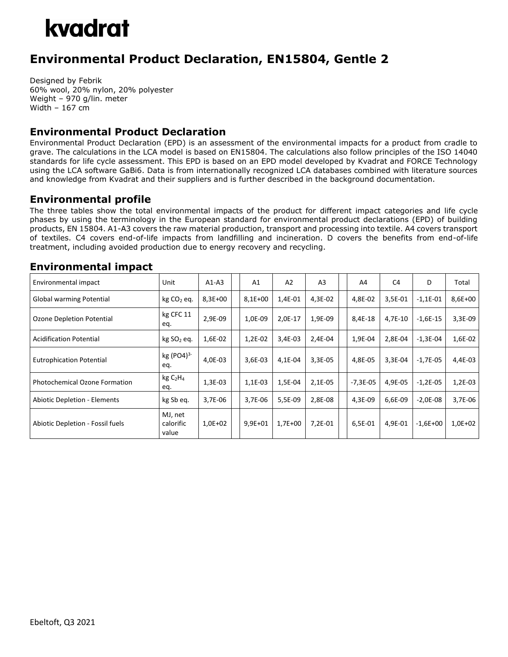## kvadrat

### **Environmental Product Declaration, EN15804, Gentle 2**

Designed by Febrik 60% wool, 20% nylon, 20% polyester Weight – 970 g/lin. meter Width – 167 cm

#### **Environmental Product Declaration**

Environmental Product Declaration (EPD) is an assessment of the environmental impacts for a product from cradle to grave. The calculations in the LCA model is based on EN15804. The calculations also follow principles of the ISO 14040 standards for life cycle assessment. This EPD is based on an EPD model developed by Kvadrat and FORCE Technology using the LCA software GaBi6. Data is from internationally recognized LCA databases combined with literature sources and knowledge from Kvadrat and their suppliers and is further described in the background documentation.

#### **Environmental profile**

The three tables show the total environmental impacts of the product for different impact categories and life cycle phases by using the terminology in the European standard for environmental product declarations (EPD) of building products, EN 15804. A1-A3 covers the raw material production, transport and processing into textile. A4 covers transport of textiles. C4 covers end-of-life impacts from landfilling and incineration. D covers the benefits from end-of-life treatment, including avoided production due to energy recovery and recycling.

| Environmental impact                 | Unit                                    | $A1-A3$   | A <sub>1</sub> | A <sub>2</sub> | A <sub>3</sub> | A4         | C4      | D          | Total     |
|--------------------------------------|-----------------------------------------|-----------|----------------|----------------|----------------|------------|---------|------------|-----------|
| Global warming Potential             | $kg CO2$ eq.                            | 8,3E+00   | $8,1E+00$      | 1,4E-01        | 4,3E-02        | 4,8E-02    | 3,5E-01 | $-1,1E-01$ | 8,6E+00   |
| Ozone Depletion Potential            | kg CFC 11<br>eq.                        | 2,9E-09   | 1,0E-09        | 2,0E-17        | 1,9E-09        | 8,4E-18    | 4,7E-10 | $-1,6E-15$ | 3,3E-09   |
| <b>Acidification Potential</b>       | kg SO <sub>2</sub> eq.                  | 1,6E-02   | 1,2E-02        | 3,4E-03        | 2,4E-04        | 1,9E-04    | 2,8E-04 | $-1,3E-04$ | 1,6E-02   |
| <b>Eutrophication Potential</b>      | $kg (PO4)^{3-}$<br>eq.                  | 4,0E-03   | $3.6E-03$      | 4,1E-04        | $3,3E-05$      | 4,8E-05    | 3,3E-04 | $-1.7E-05$ | 4,4E-03   |
| <b>Photochemical Ozone Formation</b> | kg C <sub>2</sub> H <sub>4</sub><br>eq. | $1,3E-03$ | 1,1E-03        | 1,5E-04        | 2,1E-05        | $-7,3E-05$ | 4,9E-05 | $-1,2E-05$ | $1,2E-03$ |
| <b>Abiotic Depletion - Elements</b>  | kg Sb eq.                               | 3,7E-06   | 3,7E-06        | 5,5E-09        | 2,8E-08        | 4,3E-09    | 6,6E-09 | $-2,0E-08$ | 3,7E-06   |
| Abiotic Depletion - Fossil fuels     | MJ, net<br>calorific<br>value           | $1,0E+02$ | $9,9E+01$      | $1,7E+00$      | 7,2E-01        | 6,5E-01    | 4,9E-01 | $-1,6E+00$ | $1,0E+02$ |

#### **Environmental impact**